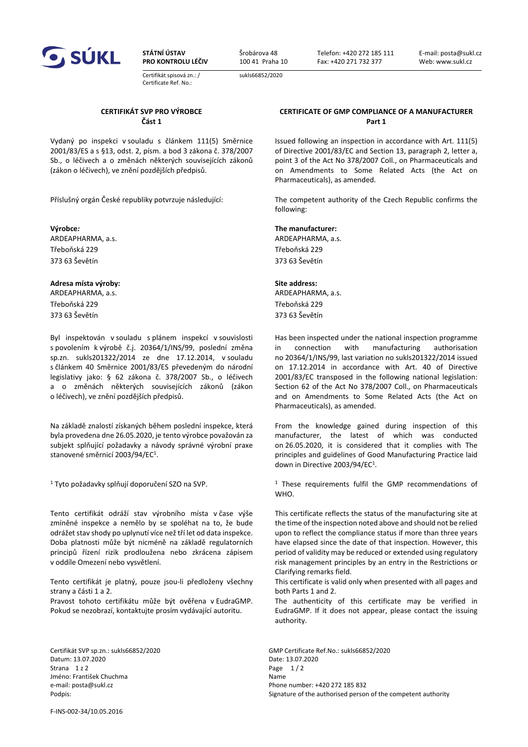

**STÁTNÍ ÚSTAV PRO KONTROLU LÉČIV**

Certifikát spisová zn.: / Certificate Ref. No.:

Šrobárova 48 100 41 Praha 10

sukls66852/2020

Telefon: +420 272 185 111 Fax: +420 271 732 377

E-mail: posta@sukl.cz Web: www.sukl.cz

### **CERTIFIKÁT SVP PRO VÝROBCE Část 1**

Vydaný po inspekci v souladu s článkem 111(5) Směrnice 2001/83/ES a s §13, odst. 2, písm. a bod 3 zákona č. 378/2007 Sb., o léčivech a o změnách některých souvisejících zákonů (zákon o léčivech), ve znění pozdějších předpisů.

**Výrobce***:* **The manufacturer:** ARDEAPHARMA, a.s. ARDEAPHARMA, a.s. Třeboňská 229 373 63 Ševětín

### **Adresa místa výroby: Site address:**

Třeboňská 229 373 63 Ševětín

Byl inspektován v souladu s plánem inspekcí v souvislosti s povolením k výrobě č.j. 20364/1/INS/99, poslední změna sp.zn. sukls201322/2014 ze dne 17.12.2014, v souladu s článkem 40 Směrnice 2001/83/ES převedeným do národní legislativy jako: § 62 zákona č. 378/2007 Sb., o léčivech a o změnách některých souvisejících zákonů (zákon o léčivech), ve znění pozdějších předpisů.

Na základě znalostí získaných během poslední inspekce, která byla provedena dne 26.05.2020, je tento výrobce považován za subjekt splňující požadavky a návody správné výrobní praxe stanovené směrnicí 2003/94/EC<sup>1</sup>.

1 Tyto požadavky splňují doporučení SZO na SVP.

Tento certifikát odráží stav výrobního místa v čase výše zmíněné inspekce a nemělo by se spoléhat na to, že bude odrážet stav shody po uplynutí více než tří let od data inspekce. Doba platnosti může být nicméně na základě regulatorních principů řízení rizik prodloužena nebo zkrácena zápisem v oddíle Omezení nebo vysvětlení.

Tento certifikát je platný, pouze jsou-li předloženy všechny strany a části 1 a 2. Pravost tohoto certifikátu může být ověřena v EudraGMP. Pokud se nezobrazí, kontaktujte prosím vydávající autoritu.

Datum: 13.07.2020 Date: 13.07.2020 Strana  $1z$  2  $P$ age  $1/2$ Jméno: František Chuchma Name e-mail: posta@sukl.cz extending the mail: posta@sukl.cz extending the mail: posta@sukl.cz

F-INS-002-34/10.05.2016

### **CERTIFICATE OF GMP COMPLIANCE OF A MANUFACTURER Part 1**

Issued following an inspection in accordance with Art. 111(5) of Directive 2001/83/EC and Section 13, paragraph 2, letter a, point 3 of the Act No 378/2007 Coll., on Pharmaceuticals and on Amendments to Some Related Acts (the Act on Pharmaceuticals), as amended.

Příslušný orgán České republiky potvrzuje následující: The competent authority of the Czech Republic confirms the following:

Třeboňská 229 373 63 Ševětín

ARDEAPHARMA, a.s. ARDEAPHARMA, a.s. Třeboňská 229 373 63 Ševětín

> Has been inspected under the national inspection programme in connection with manufacturing authorisation no 20364/1/INS/99, last variation no sukls201322/2014 issued on 17.12.2014 in accordance with Art. 40 of Directive 2001/83/EC transposed in the following national legislation: Section 62 of the Act No 378/2007 Coll., on Pharmaceuticals and on Amendments to Some Related Acts (the Act on Pharmaceuticals), as amended.

> From the knowledge gained during inspection of this manufacturer, the latest of which was conducted on 26.05.2020, it is considered that it complies with The principles and guidelines of Good Manufacturing Practice laid down in Directive 2003/94/EC1.

> <sup>1</sup> These requirements fulfil the GMP recommendations of WHO.

> This certificate reflects the status of the manufacturing site at the time of the inspection noted above and should not be relied upon to reflect the compliance status if more than three years have elapsed since the date of that inspection. However, this period of validity may be reduced or extended using regulatory risk management principles by an entry in the Restrictions or Clarifying remarks field.

> This certificate is valid only when presented with all pages and both Parts 1 and 2.

> The authenticity of this certificate may be verified in EudraGMP. If it does not appear, please contact the issuing authority.

Certifikát SVP sp.zn.: sukls66852/2020 GMP Certificate Ref.No.: sukls66852/2020 Podpis: Signature of the authorised person of the competent authority